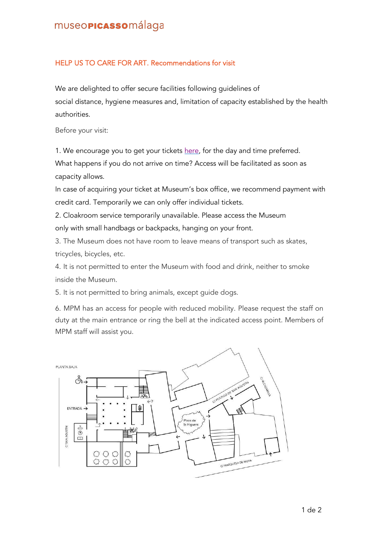## museo**picasso**málaga

## HELP US TO CARE FOR ART. Recommendations for visit

We are delighted to offer secure facilities following guidelines of social distance, hygiene measures and, limitation of capacity established by the health authorities.

Before your visit:

1. We encourage you to get your tickets [here,](https://tickets.museopicassomalaga.org/muslinkIII/venda/index.jsp?nom_cache=MPM&property=MPM&grupActiv=1&lang=2) for the day and time preferred.

What happens if you do not arrive on time? Access will be facilitated as soon as capacity allows.

In case of acquiring your ticket at Museum's box office, we recommend payment with credit card. Temporarily we can only offer individual tickets.

2. Cloakroom service temporarily unavailable. Please access the Museum only with small handbags or backpacks, hanging on your front.

3. The Museum does not have room to leave means of transport such as skates, tricycles, bicycles, etc.

4. It is not permitted to enter the Museum with food and drink, neither to smoke inside the Museum.

5. It is not permitted to bring animals, except guide dogs.

6. MPM has an access for people with reduced mobility. Please request the staff on duty at the main entrance or ring the bell at the indicated access point. Members of MPM staff will assist you.